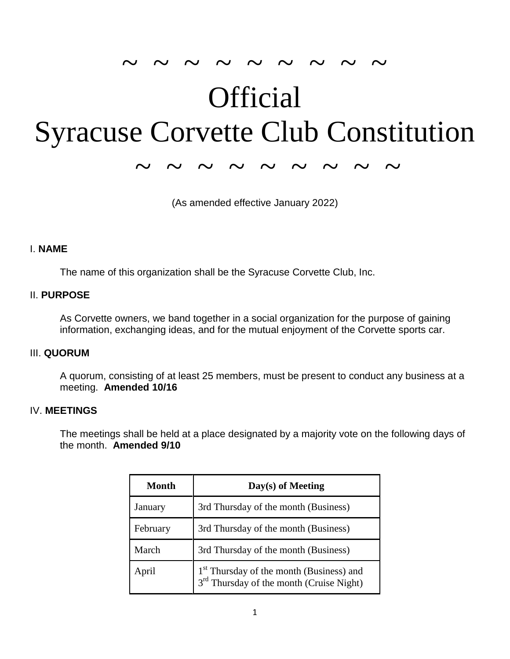# $\sim$   $\sim$   $\sim$   $\sim$   $\sim$   $\sim$   $\sim$   $\sim$ **Official** Syracuse Corvette Club Constitution

~ ~ ~ ~ ~ ~ ~ ~ ~

(As amended effective January 2022)

#### I. **NAME**

The name of this organization shall be the Syracuse Corvette Club, Inc.

#### II. **PURPOSE**

As Corvette owners, we band together in a social organization for the purpose of gaining information, exchanging ideas, and for the mutual enjoyment of the Corvette sports car.

#### III. **QUORUM**

A quorum, consisting of at least 25 members, must be present to conduct any business at a meeting. **Amended 10/16**

#### IV. **MEETINGS**

The meetings shall be held at a place designated by a majority vote on the following days of the month. **Amended 9/10**

| Month    | Day(s) of Meeting                                                                                            |
|----------|--------------------------------------------------------------------------------------------------------------|
| January  | 3rd Thursday of the month (Business)                                                                         |
| February | 3rd Thursday of the month (Business)                                                                         |
| March    | 3rd Thursday of the month (Business)                                                                         |
| April    | 1 <sup>st</sup> Thursday of the month (Business) and<br>3 <sup>rd</sup> Thursday of the month (Cruise Night) |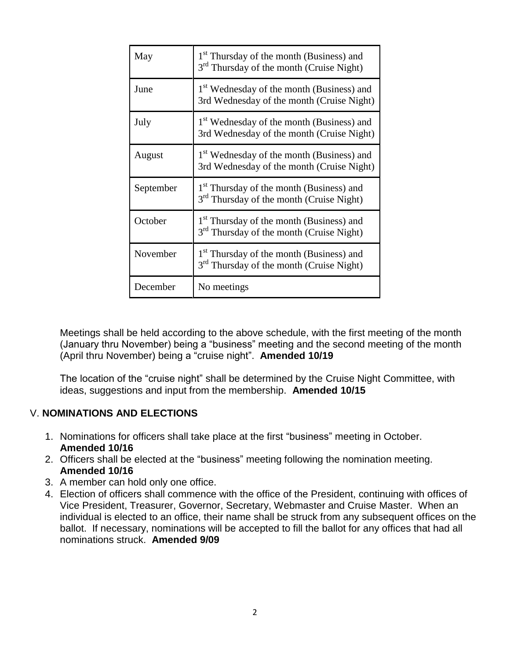| May       | 1 <sup>st</sup> Thursday of the month (Business) and<br>3 <sup>rd</sup> Thursday of the month (Cruise Night) |
|-----------|--------------------------------------------------------------------------------------------------------------|
| June      | 1 <sup>st</sup> Wednesday of the month (Business) and<br>3rd Wednesday of the month (Cruise Night)           |
| July      | 1 <sup>st</sup> Wednesday of the month (Business) and<br>3rd Wednesday of the month (Cruise Night)           |
| August    | 1 <sup>st</sup> Wednesday of the month (Business) and<br>3rd Wednesday of the month (Cruise Night)           |
| September | 1 <sup>st</sup> Thursday of the month (Business) and<br>3 <sup>rd</sup> Thursday of the month (Cruise Night) |
| October   | 1 <sup>st</sup> Thursday of the month (Business) and<br>3 <sup>rd</sup> Thursday of the month (Cruise Night) |
| November  | 1 <sup>st</sup> Thursday of the month (Business) and<br>3 <sup>rd</sup> Thursday of the month (Cruise Night) |
| December  | No meetings                                                                                                  |

Meetings shall be held according to the above schedule, with the first meeting of the month (January thru November) being a "business" meeting and the second meeting of the month (April thru November) being a "cruise night". **Amended 10/19**

The location of the "cruise night" shall be determined by the Cruise Night Committee, with ideas, suggestions and input from the membership. **Amended 10/15**

## V. **NOMINATIONS AND ELECTIONS**

- 1. Nominations for officers shall take place at the first "business" meeting in October. **Amended 10/16**
- 2. Officers shall be elected at the "business" meeting following the nomination meeting. **Amended 10/16**
- 3. A member can hold only one office.
- 4. Election of officers shall commence with the office of the President, continuing with offices of Vice President, Treasurer, Governor, Secretary, Webmaster and Cruise Master. When an individual is elected to an office, their name shall be struck from any subsequent offices on the ballot. If necessary, nominations will be accepted to fill the ballot for any offices that had all nominations struck. **Amended 9/09**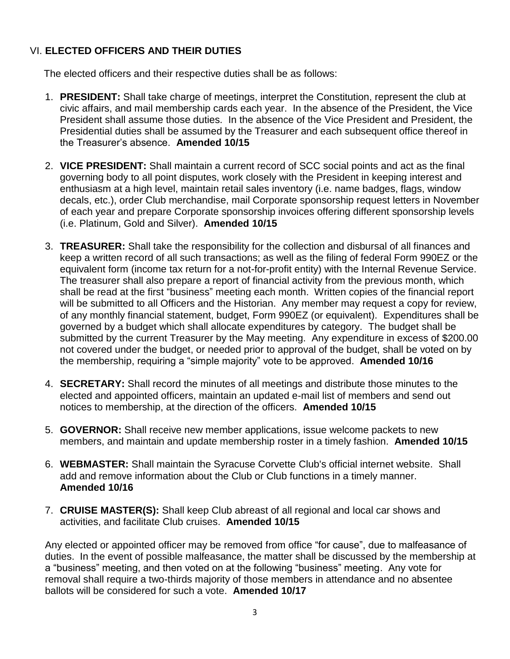## VI. **ELECTED OFFICERS AND THEIR DUTIES**

The elected officers and their respective duties shall be as follows:

- 1. **PRESIDENT:** Shall take charge of meetings, interpret the Constitution, represent the club at civic affairs, and mail membership cards each year. In the absence of the President, the Vice President shall assume those duties. In the absence of the Vice President and President, the Presidential duties shall be assumed by the Treasurer and each subsequent office thereof in the Treasurer's absence. **Amended 10/15**
- 2. **VICE PRESIDENT:** Shall maintain a current record of SCC social points and act as the final governing body to all point disputes, work closely with the President in keeping interest and enthusiasm at a high level, maintain retail sales inventory (i.e. name badges, flags, window decals, etc.), order Club merchandise, mail Corporate sponsorship request letters in November of each year and prepare Corporate sponsorship invoices offering different sponsorship levels (i.e. Platinum, Gold and Silver). **Amended 10/15**
- 3. **TREASURER:** Shall take the responsibility for the collection and disbursal of all finances and keep a written record of all such transactions; as well as the filing of federal Form 990EZ or the equivalent form (income tax return for a not-for-profit entity) with the Internal Revenue Service. The treasurer shall also prepare a report of financial activity from the previous month, which shall be read at the first "business" meeting each month. Written copies of the financial report will be submitted to all Officers and the Historian. Any member may request a copy for review, of any monthly financial statement, budget, Form 990EZ (or equivalent). Expenditures shall be governed by a budget which shall allocate expenditures by category. The budget shall be submitted by the current Treasurer by the May meeting. Any expenditure in excess of \$200.00 not covered under the budget, or needed prior to approval of the budget, shall be voted on by the membership, requiring a "simple majority" vote to be approved. **Amended 10/16**
- 4. **SECRETARY:** Shall record the minutes of all meetings and distribute those minutes to the elected and appointed officers, maintain an updated e-mail list of members and send out notices to membership, at the direction of the officers. **Amended 10/15**
- 5. **GOVERNOR:** Shall receive new member applications, issue welcome packets to new members, and maintain and update membership roster in a timely fashion. **Amended 10/15**
- 6. **WEBMASTER:** Shall maintain the Syracuse Corvette Club's official internet website. Shall add and remove information about the Club or Club functions in a timely manner. **Amended 10/16**
- 7. **CRUISE MASTER(S):** Shall keep Club abreast of all regional and local car shows and activities, and facilitate Club cruises. **Amended 10/15**

Any elected or appointed officer may be removed from office "for cause", due to malfeasance of duties. In the event of possible malfeasance, the matter shall be discussed by the membership at a "business" meeting, and then voted on at the following "business" meeting. Any vote for removal shall require a two-thirds majority of those members in attendance and no absentee ballots will be considered for such a vote. **Amended 10/17**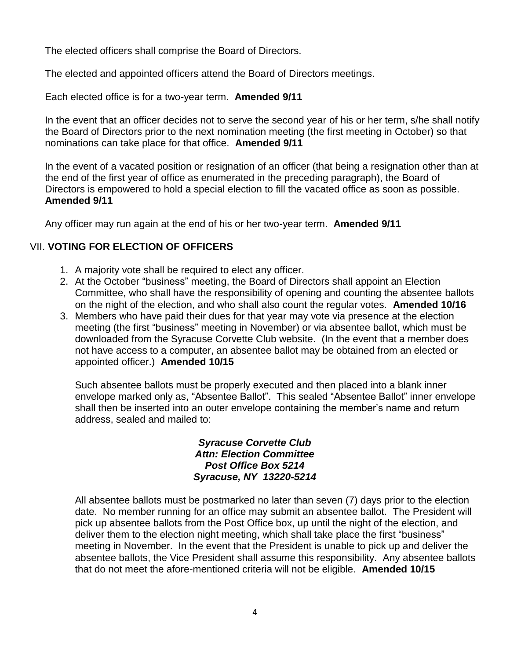The elected officers shall comprise the Board of Directors.

The elected and appointed officers attend the Board of Directors meetings.

Each elected office is for a two-year term. **Amended 9/11**

In the event that an officer decides not to serve the second year of his or her term, s/he shall notify the Board of Directors prior to the next nomination meeting (the first meeting in October) so that nominations can take place for that office. **Amended 9/11**

In the event of a vacated position or resignation of an officer (that being a resignation other than at the end of the first year of office as enumerated in the preceding paragraph), the Board of Directors is empowered to hold a special election to fill the vacated office as soon as possible. **Amended 9/11**

Any officer may run again at the end of his or her two-year term. **Amended 9/11**

## VII. **VOTING FOR ELECTION OF OFFICERS**

- 1. A majority vote shall be required to elect any officer.
- 2. At the October "business" meeting, the Board of Directors shall appoint an Election Committee, who shall have the responsibility of opening and counting the absentee ballots on the night of the election, and who shall also count the regular votes. **Amended 10/16**
- 3. Members who have paid their dues for that year may vote via presence at the election meeting (the first "business" meeting in November) or via absentee ballot, which must be downloaded from the Syracuse Corvette Club website. (In the event that a member does not have access to a computer, an absentee ballot may be obtained from an elected or appointed officer.) **Amended 10/15**

Such absentee ballots must be properly executed and then placed into a blank inner envelope marked only as, "Absentee Ballot". This sealed "Absentee Ballot" inner envelope shall then be inserted into an outer envelope containing the member's name and return address, sealed and mailed to:

#### *Syracuse Corvette Club Attn: Election Committee Post Office Box 5214 Syracuse, NY 13220-5214*

All absentee ballots must be postmarked no later than seven (7) days prior to the election date. No member running for an office may submit an absentee ballot. The President will pick up absentee ballots from the Post Office box, up until the night of the election, and deliver them to the election night meeting, which shall take place the first "business" meeting in November. In the event that the President is unable to pick up and deliver the absentee ballots, the Vice President shall assume this responsibility. Any absentee ballots that do not meet the afore-mentioned criteria will not be eligible. **Amended 10/15**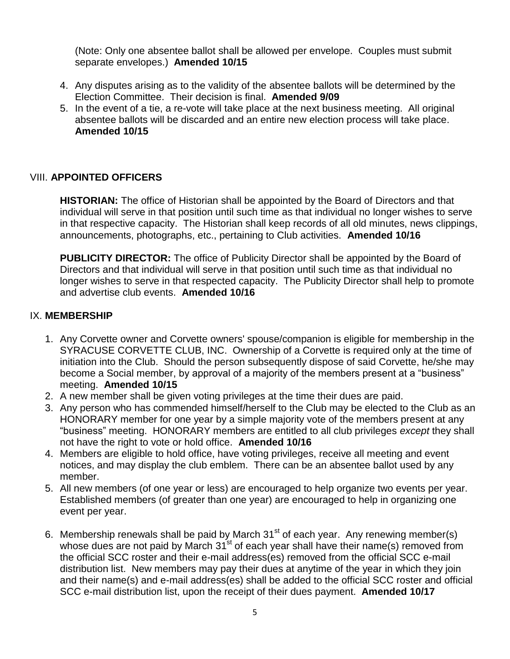(Note: Only one absentee ballot shall be allowed per envelope. Couples must submit separate envelopes.) **Amended 10/15**

- 4. Any disputes arising as to the validity of the absentee ballots will be determined by the Election Committee. Their decision is final. **Amended 9/09**
- 5. In the event of a tie, a re-vote will take place at the next business meeting. All original absentee ballots will be discarded and an entire new election process will take place. **Amended 10/15**

## VIII. **APPOINTED OFFICERS**

**HISTORIAN:** The office of Historian shall be appointed by the Board of Directors and that individual will serve in that position until such time as that individual no longer wishes to serve in that respective capacity. The Historian shall keep records of all old minutes, news clippings, announcements, photographs, etc., pertaining to Club activities.**Amended 10/16**

**PUBLICITY DIRECTOR:** The office of Publicity Director shall be appointed by the Board of Directors and that individual will serve in that position until such time as that individual no longer wishes to serve in that respected capacity. The Publicity Director shall help to promote and advertise club events. **Amended 10/16**

## IX. **MEMBERSHIP**

- 1. Any Corvette owner and Corvette owners' spouse/companion is eligible for membership in the SYRACUSE CORVETTE CLUB, INC. Ownership of a Corvette is required only at the time of initiation into the Club. Should the person subsequently dispose of said Corvette, he/she may become a Social member, by approval of a majority of the members present at a "business" meeting. **Amended 10/15**
- 2. A new member shall be given voting privileges at the time their dues are paid.
- 3. Any person who has commended himself/herself to the Club may be elected to the Club as an HONORARY member for one year by a simple majority vote of the members present at any "business" meeting. HONORARY members are entitled to all club privileges *except* they shall not have the right to vote or hold office. **Amended 10/16**
- 4. Members are eligible to hold office, have voting privileges, receive all meeting and event notices, and may display the club emblem. There can be an absentee ballot used by any member.
- 5. All new members (of one year or less) are encouraged to help organize two events per year. Established members (of greater than one year) are encouraged to help in organizing one event per year.
- 6. Membership renewals shall be paid by March  $31<sup>st</sup>$  of each year. Any renewing member(s) whose dues are not paid by March 31<sup>st</sup> of each year shall have their name(s) removed from the official SCC roster and their e-mail address(es) removed from the official SCC e-mail distribution list. New members may pay their dues at anytime of the year in which they join and their name(s) and e-mail address(es) shall be added to the official SCC roster and official SCC e-mail distribution list, upon the receipt of their dues payment. **Amended 10/17**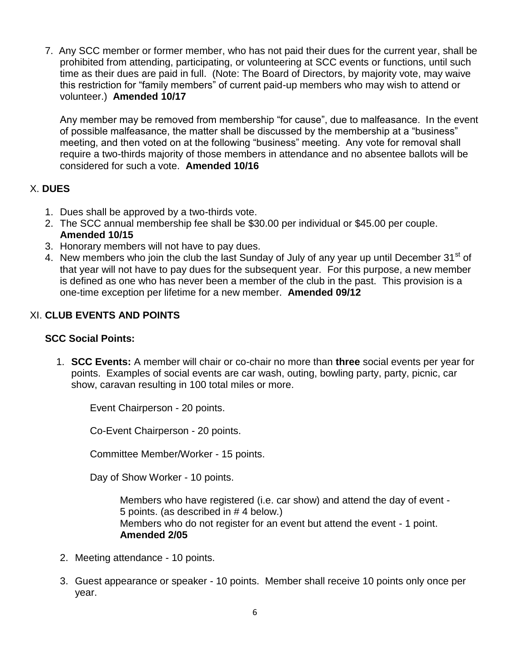7. Any SCC member or former member, who has not paid their dues for the current year, shall be prohibited from attending, participating, or volunteering at SCC events or functions, until such time as their dues are paid in full. (Note: The Board of Directors, by majority vote, may waive this restriction for "family members" of current paid-up members who may wish to attend or volunteer.) **Amended 10/17**

Any member may be removed from membership "for cause", due to malfeasance. In the event of possible malfeasance, the matter shall be discussed by the membership at a "business" meeting, and then voted on at the following "business" meeting. Any vote for removal shall require a two-thirds majority of those members in attendance and no absentee ballots will be considered for such a vote. **Amended 10/16**

## X. **DUES**

- 1. Dues shall be approved by a two-thirds vote.
- 2. The SCC annual membership fee shall be \$30.00 per individual or \$45.00 per couple. **Amended 10/15**
- 3. Honorary members will not have to pay dues.
- 4. New members who join the club the last Sunday of July of any year up until December 31<sup>st</sup> of that year will not have to pay dues for the subsequent year. For this purpose, a new member is defined as one who has never been a member of the club in the past. This provision is a one-time exception per lifetime for a new member. **Amended 09/12**

## XI. **CLUB EVENTS AND POINTS**

## **SCC Social Points:**

1. **SCC Events:** A member will chair or co-chair no more than **three** social events per year for points. Examples of social events are car wash, outing, bowling party, party, picnic, car show, caravan resulting in 100 total miles or more.

Event Chairperson - 20 points.

Co-Event Chairperson - 20 points.

Committee Member/Worker - 15 points.

Day of Show Worker - 10 points.

Members who have registered (i.e. car show) and attend the day of event - 5 points. (as described in # 4 below.) Members who do not register for an event but attend the event - 1 point. **Amended 2/05**

- 2. Meeting attendance 10 points.
- 3. Guest appearance or speaker 10 points. Member shall receive 10 points only once per year.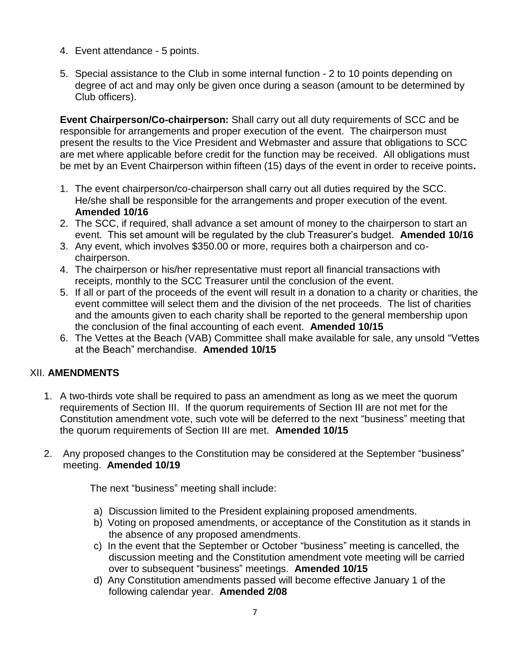- 4. Event attendance 5 points.
- 5. Special assistance to the Club in some internal function 2 to 10 points depending on degree of act and may only be given once during a season (amount to be determined by Club officers).

**Event Chairperson/Co-chairperson:** Shall carry out all duty requirements of SCC and be responsible for arrangements and proper execution of the event. The chairperson must present the results to the Vice President and Webmaster and assure that obligations to SCC are met where applicable before credit for the function may be received. All obligations must be met by an Event Chairperson within fifteen (15) days of the event in order to receive points**.** 

- 1. The event chairperson/co-chairperson shall carry out all duties required by the SCC. He/she shall be responsible for the arrangements and proper execution of the event. **Amended 10/16**
- 2. The SCC, if required, shall advance a set amount of money to the chairperson to start an event. This set amount will be regulated by the club Treasurer's budget. **Amended 10/16**
- 3. Any event, which involves \$350.00 or more, requires both a chairperson and cochairperson.
- 4. The chairperson or his/her representative must report all financial transactions with receipts, monthly to the SCC Treasurer until the conclusion of the event.
- 5. If all or part of the proceeds of the event will result in a donation to a charity or charities, the event committee will select them and the division of the net proceeds. The list of charities and the amounts given to each charity shall be reported to the general membership upon the conclusion of the final accounting of each event. **Amended 10/15**
- 6. The Vettes at the Beach (VAB) Committee shall make available for sale, any unsold "Vettes at the Beach" merchandise. **Amended 10/15**

# XII. **AMENDMENTS**

- 1. A two-thirds vote shall be required to pass an amendment as long as we meet the quorum requirements of Section III. If the quorum requirements of Section III are not met for the Constitution amendment vote, such vote will be deferred to the next "business" meeting that the quorum requirements of Section III are met. **Amended 10/15**
- 2. Any proposed changes to the Constitution may be considered at the September "business" meeting. **Amended 10/19**

The next "business" meeting shall include:

- a) Discussion limited to the President explaining proposed amendments.
- b) Voting on proposed amendments, or acceptance of the Constitution as it stands in the absence of any proposed amendments.
- c) In the event that the September or October "business" meeting is cancelled, the discussion meeting and the Constitution amendment vote meeting will be carried over to subsequent "business" meetings. **Amended 10/15**
- d) Any Constitution amendments passed will become effective January 1 of the following calendar year. **Amended 2/08**